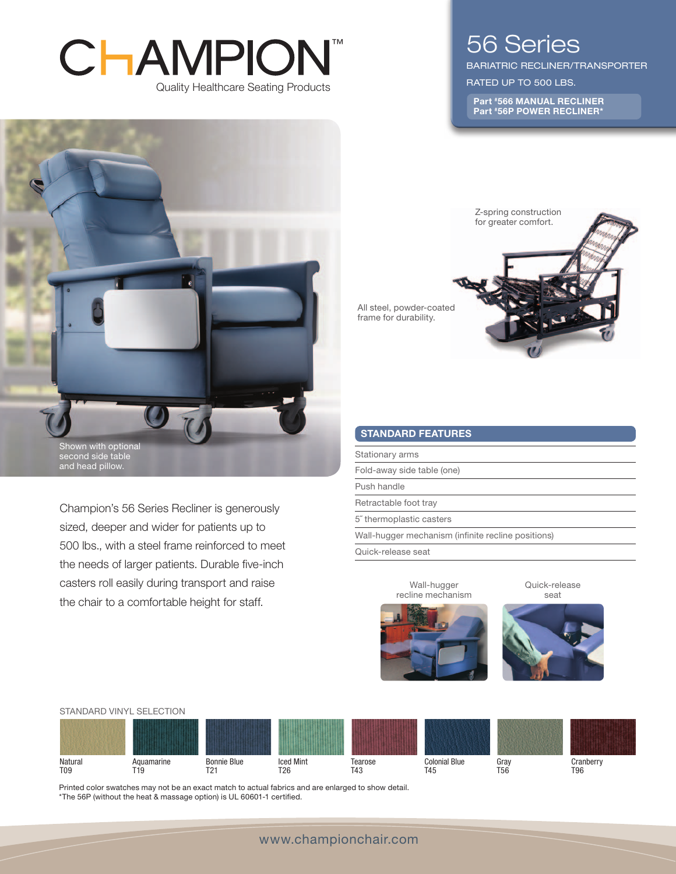# CHAMPION ™Quality Healthcare Seating Products



bariatric Recliner/TRANSPORTER

RATED UP TO 500 LBS.

Part #566 MANUAL RECLINER Part #56P POWER RECLINER\*



and head pillow.

Champion's 56 Series Recliner is generously sized, deeper and wider for patients up to 500 lbs., with a steel frame reinforced to meet the needs of larger patients. Durable five-inch casters roll easily during transport and raise the chair to a comfortable height for staff.

All steel, powder-coated frame for durability. Z-spring construction for greater comfort.

#### STANDARD FEATURES

Stationary arms

Fold-away side table (one)

Push handle

Retractable foot tray

5˝ thermoplastic casters

Wall-hugger mechanism (infinite recline positions)

Quick-release seat

Quick-release seat



Wall-hugger recline mechanism



**Natural** T09 Aquamarine T19 Bonnie Blue T21 Iced Mint T26 Tearose T43 Colonial Blue T45 Gray T56 **Cranberry** T96 Standard vinyl selection

Printed color swatches may not be an exact match to actual fabrics and are enlarged to show detail. \*The 56P (without the heat & massage option) is UL 60601-1 certified.